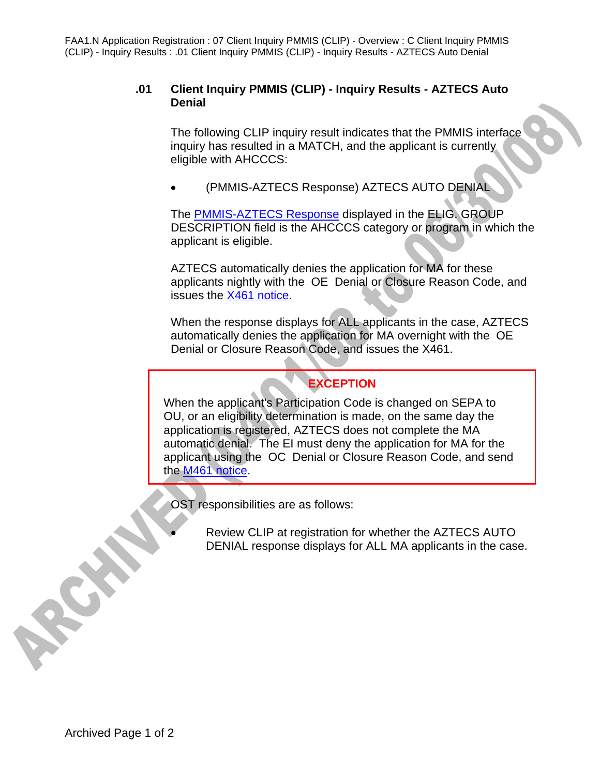FAA1.N Application Registration : 07 Client Inquiry PMMIS (CLIP) - Overview : C Client Inquiry PMMIS (CLIP) - Inquiry Results : .01 Client Inquiry PMMIS (CLIP) - Inquiry Results - AZTECS Auto Denial

## **.01 Client Inquiry PMMIS (CLIP) - Inquiry Results - AZTECS Auto Denial**

The following CLIP inquiry result indicates that the PMMIS interface inquiry has resulted in a MATCH, and the applicant is currently eligible with AHCCCS:

• (PMMIS-AZTECS Response) AZTECS AUTO DENIAL

The PMMIS-AZTECS Response displayed in the ELIG. GROUP DESCRIPTION field is the AHCCCS category or program in which the applicant is eligible.

AZTECS automatically denies the application for MA for these applicants nightly with the OE Denial or Closure Reason Code, and issues the X461 notice.

When the response displays for ALL applicants in the case, AZTECS automatically denies the application for MA overnight with the OE Denial or Closure Reason Code, and issues the X461.

## **EXCEPTION**

When the applicant's Participation Code is changed on SEPA to OU, or an eligibility determination is made, on the same day the application is registered, AZTECS does not complete the MA automatic denial. The EI must deny the application for MA for the applicant using the OC Denial or Closure Reason Code, and send the M461 notice.

OST responsibilities are as follows:

Review CLIP at registration for whether the AZTECS AUTO DENIAL response displays for ALL MA applicants in the case.